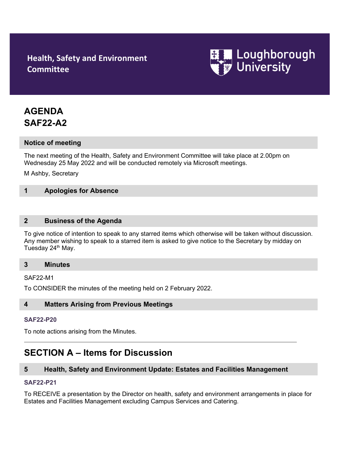# **Health, Safety and Environment Committee**



# **AGENDA SAF22-A2**

## **Notice of meeting**

The next meeting of the Health, Safety and Environment Committee will take place at 2.00pm on Wednesday 25 May 2022 and will be conducted remotely via Microsoft meetings.

M Ashby, Secretary

## **1 Apologies for Absence**

### **2 Business of the Agenda**

To give notice of intention to speak to any starred items which otherwise will be taken without discussion. Any member wishing to speak to a starred item is asked to give notice to the Secretary by midday on Tuesday 24<sup>th</sup> May.

#### **3 Minutes**

#### SAF22-M1

To CONSIDER the minutes of the meeting held on 2 February 2022.

## **4 Matters Arising from Previous Meetings**

#### **[SAF22-P2](http://www.lboro.ac.uk/admin/committees/hsec/papers/2012/saf12-p32.doc)0**

To note actions arising from the Minutes.

# **SECTION A – Items for Discussion**

## **5 Health, Safety and Environment Update: Estates and Facilities Management**

#### **[SAF22-P2](http://www.lboro.ac.uk/admin/committees/hsec/papers/2012/saf12-p32.doc)1**

To RECEIVE a presentation by the Director on health, safety and environment arrangements in place for Estates and Facilities Management excluding Campus Services and Catering.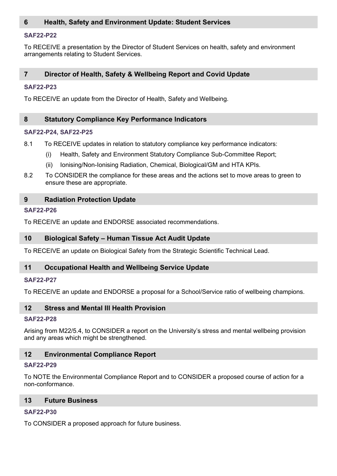# **6 Health, Safety and Environment Update: Student Services**

#### **[SAF22-P2](http://www.lboro.ac.uk/admin/committees/hsec/papers/2012/saf12-p32.doc)2**

To RECEIVE a presentation by the Director of Student Services on health, safety and environment arrangements relating to Student Services.

## **7 Director of Health, Safety & Wellbeing Report and Covid Update**

#### **[SAF22-P2](http://www.lboro.ac.uk/admin/committees/hsec/papers/2012/saf12-p32.doc)3**

To RECEIVE an update from the Director of Health, Safety and Wellbeing.

#### **8 Statutory Compliance Key Performance Indicators**

#### **[SAF22-P2](http://www.lboro.ac.uk/admin/committees/hsec/papers/2012/saf12-p32.doc)4, [SAF22-P2](http://www.lboro.ac.uk/admin/committees/hsec/papers/2012/saf12-p32.doc)5**

- 8.1 To RECEIVE updates in relation to statutory compliance key performance indicators:
	- (i) Health, Safety and Environment Statutory Compliance Sub-Committee Report;
	- (ii) Ionising/Non-Ionising Radiation, Chemical, Biological/GM and HTA KPIs.
- 8.2 To CONSIDER the compliance for these areas and the actions set to move areas to green to ensure these are appropriate.

#### **9 Radiation Protection Update**

#### **[SAF22-P2](http://www.lboro.ac.uk/admin/committees/hsec/papers/2012/saf12-p32.doc)6**

To RECEIVE an update and ENDORSE associated recommendations.

#### **10 Biological Safety – Human Tissue Act Audit Update**

To RECEIVE an update on Biological Safety from the Strategic Scientific Technical Lead.

## **11 Occupational Health and Wellbeing Service Update**

#### **[SAF22-P2](http://www.lboro.ac.uk/admin/committees/hsec/papers/2012/saf12-p32.doc)7**

To RECEIVE an update and ENDORSE a proposal for a School/Service ratio of wellbeing champions.

#### **12 Stress and Mental Ill Health Provision**

#### **[SAF22-P2](http://www.lboro.ac.uk/admin/committees/hsec/papers/2012/saf12-p32.doc)8**

Arising from M22/5.4, to CONSIDER a report on the University's stress and mental wellbeing provision and any areas which might be strengthened.

## **12 Environmental Compliance Report**

#### **[SAF22-P2](http://www.lboro.ac.uk/admin/committees/hsec/papers/2012/saf12-p32.doc)9**

To NOTE the Environmental Compliance Report and to CONSIDER a proposed course of action for a non-conformance.

## **13 Future Business**

### **[SAF22-P3](http://www.lboro.ac.uk/admin/committees/hsec/papers/2012/saf12-p32.doc)0**

To CONSIDER a proposed approach for future business.